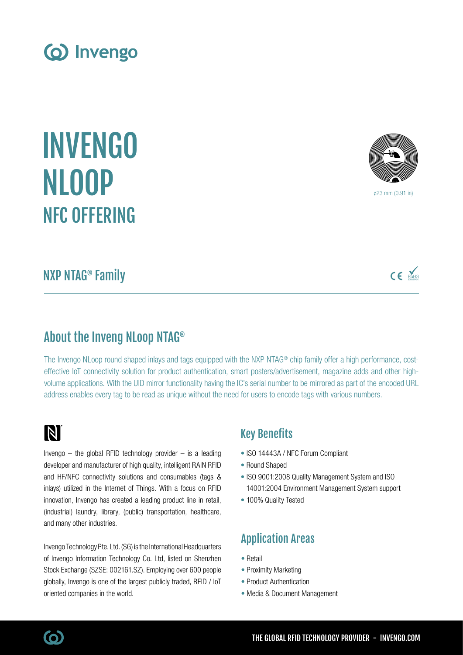INVENGO NLOOP NFC OFFERING

# NXP NTAG® Family

## About the Inveng NLoop NTAG®

The Invengo NLoop round shaped inlays and tags equipped with the NXP NTAG® chip family offer a high performance, costeffective IoT connectivity solution for product authentication, smart posters/advertisement, magazine adds and other highvolume applications. With the UID mirror functionality having the IC's serial number to be mirrored as part of the encoded URL address enables every tag to be read as unique without the need for users to encode tags with various numbers.

# N

Invengo  $-$  the global RFID technology provider  $-$  is a leading developer and manufacturer of high quality, intelligent RAIN RFID and HF/NFC connectivity solutions and consumables (tags & inlays) utilized in the Internet of Things. With a focus on RFID innovation, Invengo has created a leading product line in retail, (industrial) laundry, library, (public) transportation, healthcare, and many other industries.

Invengo Technology Pte. Ltd. (SG) is the International Headquarters of Invengo Information Technology Co. Ltd, listed on Shenzhen Stock Exchange (SZSE: 002161.SZ). Employing over 600 people globally, Invengo is one of the largest publicly traded, RFID / IoT oriented companies in the world.

### Key Benefits

- ISO 14443A / NFC Forum Compliant
- Round Shaped
- ISO 9001:2008 Quality Management System and ISO 14001:2004 Environment Management System support
- 100% Quality Tested

## Application Areas

- Retail
- Proximity Marketing
- Product Authentication
- Media & Document Management